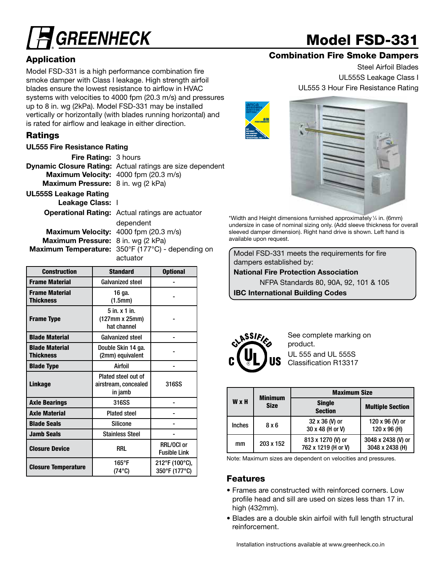# **GREENHECK**

## Model FSD-331

### Combination Fire Smoke Dampers

Steel Airfoil Blades UL555S Leakage Class I UL555 3 Hour Fire Resistance Rating





\*Width and Height dimensions furnished approximately 1⁄4 in. (6mm) undersize in case of nominal sizing only. (Add sleeve thickness for overall sleeved damper dimension). Right hand drive is shown. Left hand is available upon request.

 $\begin{bmatrix} 330 & 1 & 1 & 1 & 1 \\ 0 & 0 & 1 & 1 \end{bmatrix}$  Model FSD-331 meets the requirements for fire dampers established by:

National Fire Protection Association

NFPA Standards 80, 90A, 92, 101 & 105

IBC International Building Codes



See complete marking on product. UL 555 and UL 555S Classification R13317

|               | <b>Minimum</b> | <b>Maximum Size</b>                      |                                       |  |  |  |  |  |
|---------------|----------------|------------------------------------------|---------------------------------------|--|--|--|--|--|
| <b>W</b> x H  | <b>Size</b>    | <b>Single</b><br><b>Section</b>          | <b>Multiple Section</b>               |  |  |  |  |  |
| <b>Inches</b> | 8 x 6          | 32 x 36 (V) or<br>30 x 48 (H or V)       | 120 x 96 (V) or<br>120 x 96 (H)       |  |  |  |  |  |
| mm            | 203 x 152      | 813 x 1270 (V) or<br>762 x 1219 (H or V) | 3048 x 2438 (V) or<br>3048 x 2438 (H) |  |  |  |  |  |

Note: Maximum sizes are dependent on velocities and pressures.

#### Features

- Frames are constructed with reinforced corners. Low profile head and sill are used on sizes less than 17 in. high (432mm).
- Blades are a double skin airfoil with full length structural reinforcement.

### Application

Model FSD-331 is a high performance combination fire smoke damper with Class I leakage. High strength airfoil blades ensure the lowest resistance to airflow in HVAC systems with velocities to 4000 fpm (20.3 m/s) and pressures up to 8 in. wg (2kPa). Model FSD-331 may be installed vertically or horizontally (with blades running horizontal) and is rated for airflow and leakage in either direction.

### Ratings

#### UL555 Fire Resistance Rating

Fire Rating: 3 hours Dynamic Closure Rating: Actual ratings are size dependent Maximum Velocity: 4000 fpm (20.3 m/s) Maximum Pressure: 8 in. wg (2 kPa) UL555S Leakage Rating Leakage Class: I Operational Rating: Actual ratings are actuator dependent Maximum Velocity: 4000 fpm (20.3 m/s) Maximum Pressure: 8 in. wg (2 kPa)

Maximum Temperature: 350°F (177°C) - depending on

| <b>Construction</b>                       | <b>Standard</b>                                        | <b>Optional</b>                   |
|-------------------------------------------|--------------------------------------------------------|-----------------------------------|
| <b>Frame Material</b>                     | <b>Galvanized steel</b>                                |                                   |
| <b>Frame Material</b><br><b>Thickness</b> | 16 ga.<br>(1.5mm)                                      |                                   |
| <b>Frame Type</b>                         | 5 in. x 1 in.<br>(127mm x 25mm)<br>hat channel         |                                   |
| <b>Blade Material</b>                     | <b>Galvanized steel</b>                                |                                   |
| <b>Blade Material</b><br><b>Thickness</b> | Double Skin 14 ga.<br>(2mm) equivalent                 |                                   |
| <b>Blade Type</b>                         | Airfoil                                                |                                   |
| <b>Linkage</b>                            | Plated steel out of<br>airstream, concealed<br>in jamb | 316SS                             |
| <b>Axle Bearings</b>                      | 316SS                                                  |                                   |
| <b>Axle Material</b>                      | <b>Plated steel</b>                                    |                                   |
| <b>Blade Seals</b>                        | <b>Silicone</b>                                        |                                   |
| <b>Jamb Seals</b>                         | <b>Stainless Steel</b>                                 |                                   |
| <b>Closure Device</b>                     | <b>RRL</b>                                             | RRL/OCI or<br><b>Fusible Link</b> |
| <b>Closure Temperature</b>                | $165^{\circ}$ F<br>$(74^{\circ}C)$                     | 212°F (100°C),<br>350°F (177°C)   |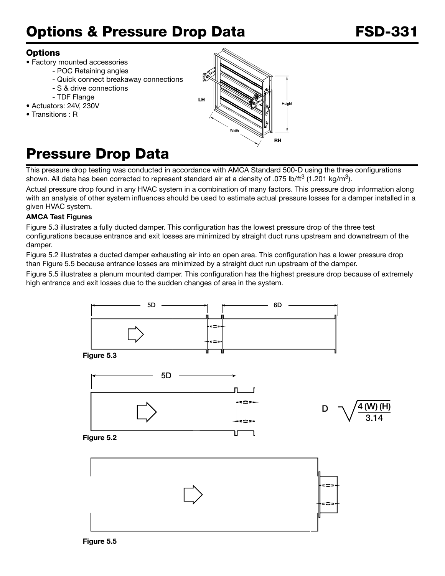### Options & Pressure Drop Data **FSD-331**

### **Options**

- Factory mounted accessories
	- POC Retaining angles
	- Quick connect breakaway connections
	- S & drive connections
	- TDF Flange
- Actuators: 24V, 230V
- Transitions : R



## Pressure Drop Data

This pressure drop testing was conducted in accordance with AMCA Standard 500-D using the three configurations shown. All data has been corrected to represent standard air at a density of .075 lb/ft<sup>3</sup> (1.201 kg/m<sup>3</sup>).

Actual pressure drop found in any HVAC system in a combination of many factors. This pressure drop information along with an analysis of other system influences should be used to estimate actual pressure losses for a damper installed in a given HVAC system.

### AMCA Test Figures

Figure 5.3 illustrates a fully ducted damper. This configuration has the lowest pressure drop of the three test configurations because entrance and exit losses are minimized by straight duct runs upstream and downstream of the damper.

Figure 5.2 illustrates a ducted damper exhausting air into an open area. This configuration has a lower pressure drop than Figure 5.5 because entrance losses are minimized by a straight duct run upstream of the damper.

Figure 5.5 illustrates a plenum mounted damper. This configuration has the highest pressure drop because of extremely high entrance and exit losses due to the sudden changes of area in the system.

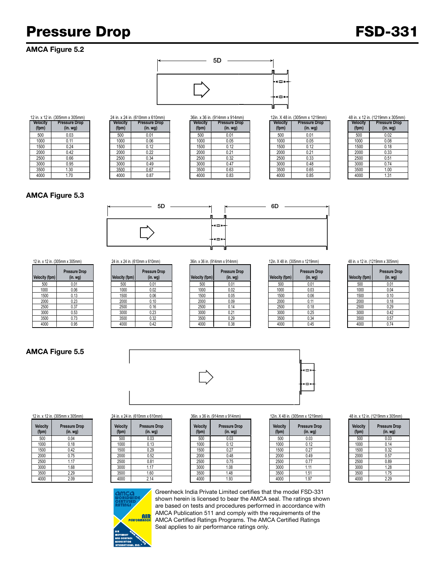### Pressure Drop **FSD-331**

### AMCA Figure 5.2



| 12 in. x 12 in. (305mm x 305mm) |                      |  |  |  |  |
|---------------------------------|----------------------|--|--|--|--|
| Velocity                        | <b>Pressure Drop</b> |  |  |  |  |
| (fpm)                           | $(in.$ wg $)$        |  |  |  |  |
| 500                             | 0.03                 |  |  |  |  |
| 1000                            | 0.11                 |  |  |  |  |
| 1500                            | 0.24                 |  |  |  |  |
| 2000                            | 0.42                 |  |  |  |  |
| 2500                            | 0.66                 |  |  |  |  |
| 3000                            | 0.95                 |  |  |  |  |
| 3500                            | 1.30                 |  |  |  |  |
| 4000                            | 1.70                 |  |  |  |  |

|                  | n. x 12 in. (305mm x 305mm)      |                          | 24 in. x 24 in. (610mm x 610mm) |                          | 36in. x 36 in. (914mm x 914mm)  |                          | 12in. X 48 in. (305mm x 1219mm)  | 48 in. x 12 in. (1219mm x |                     |
|------------------|----------------------------------|--------------------------|---------------------------------|--------------------------|---------------------------------|--------------------------|----------------------------------|---------------------------|---------------------|
| elocity<br>(fpm) | <b>Pressure Drop</b><br>(in. wg) | <b>Velocity</b><br>(fpm) | <b>Pressure Drop</b><br>(in.wg) | <b>Velocity</b><br>(fpm) | <b>Pressure Drop</b><br>(in.wg) | <b>Velocity</b><br>(fpm) | <b>Pressure Drop</b><br>(in. wg) | <b>Velocity</b><br>(fpm)  | Pressure<br>(in. w) |
| 500              | 0.03                             | 500                      | 0.01                            | 500                      | 0.01                            | 500                      | 0.01                             | 500                       | 0.02                |
| 1000             | $0.1^{\circ}$                    | 1000                     | 0.06                            | 1000                     | 0.05                            | 1000                     | 0.05                             | 1000                      | 0.08                |
| 1500             | 0.24                             | 1500                     | 0.12                            | 1500                     | 0.12                            | 1500                     | 0.12                             | 1500                      | 0.18                |
| 2000             | 0.42                             | 2000                     | 0.22                            | 2000                     | 0.21                            | 2000                     | 0.21                             | 2000                      | 0.33                |
| 2500             | 0.66                             | 2500                     | 0.34                            | 2500                     | 0.32                            | 2500                     | 0.33                             | 2500                      | 0.51                |
| 3000             | 0.95                             | 3000                     | 0.49                            | 3000                     | 0.47                            | 3000                     | 0.48                             | 3000                      | 0.74                |
| 3500             | 1.30                             | 3500                     | 0.67                            | 3500                     | 0.63                            | 3500                     | 0.65                             | 3500                      | 1.00                |
| 4000             | 1.70                             | 4000                     | 0.87                            | 4000                     | 0.83                            | 4000                     | 0.85                             | 4000                      | 1.31                |
|                  |                                  |                          |                                 |                          |                                 |                          |                                  |                           |                     |

| Velocity<br>(fpm) | <b>Pressure Drop</b><br>(in.wg) |
|-------------------|---------------------------------|
| 500               | 0.01                            |
| 1000              | 0.05                            |
| 1500              | 0.12                            |
| 2000              | 0.21                            |
| 2500              | 0.32                            |
| 3000              | 0.47                            |
| 3500              | 0.63                            |
| 4000              | 0.83                            |

|                   | 36in. x 36 in. (914mm x 914mm)   |                   | 12in. X 48 in. (305mm x 1219mm) |  |  |
|-------------------|----------------------------------|-------------------|---------------------------------|--|--|
| Velocity<br>(fpm) | <b>Pressure Drop</b><br>(in. wg) | Velocity<br>(fpm) | <b>Pressure Drop</b><br>(in.wg) |  |  |
| 500               | 0.01                             | 500               | 0.01                            |  |  |
| 1000              | 0.05                             | 1000              | 0.05                            |  |  |
| 1500              | 0.12                             | 1500              | 0.12                            |  |  |
| 2000              | 0.21                             | 2000              | 0.21                            |  |  |
| 2500              | 0.32                             | 2500              | 0.33                            |  |  |
| 3000              | 0.47                             | 3000              | 0.48                            |  |  |
| 3500              | 0.63                             | 3500              | 0.65                            |  |  |
| 4000              | 0.83                             | 4000              | 0.85                            |  |  |

|      | 3 in. x 12 in. (1219mm x 305mm) |
|------|---------------------------------|
| ____ |                                 |

| Velocity<br>(fpm) | <b>Pressure Drop</b><br>$(in.$ wg $)$ |
|-------------------|---------------------------------------|
| 500               | 0.02                                  |
| 1000              | 0.08                                  |
| 1500              | 0.18                                  |
| 2000              | 0.33                                  |
| 2500              | 0.51                                  |
| 3000              | 0.74                                  |
| 3500              | 1.00                                  |
| 4000              | 1.31                                  |

#### AMCA Figure 5.3



| Velocity (fpm) | <b>Pressure Drop</b><br>$(in.$ wg $)$ |
|----------------|---------------------------------------|
| 500            | 0.01                                  |
| 1000           | 0.06                                  |
| 1500           | 0.13                                  |
| 2000           | 0.23                                  |
| 2500           | 0.37                                  |
| 3000           | 0.53                                  |
| 3500           | 0.73                                  |
| 4000           | 0.95                                  |

|            | .  . <del>.</del> ,                      |                | - - - . <del>.</del> . <b>.</b> |                |                                 |                |                                  |                |                      |
|------------|------------------------------------------|----------------|---------------------------------|----------------|---------------------------------|----------------|----------------------------------|----------------|----------------------|
| city (fpm) | <b>Pressure Drop</b><br>(in. <i>wg</i> ) | Velocity (fpm) | <b>Pressure Drop</b><br>(in.wg) | Velocity (fpm) | <b>Pressure Drop</b><br>(in.wg) | Velocity (fpm) | <b>Pressure Drop</b><br>(in. wg) | Velocity (fpm) | Pressure<br>$(in.$ W |
| 500        | 0.01                                     | 500            | 0.01                            | 500            | 0.01                            | 500            | 0.01                             | 500            | 0.01                 |
| 1000       | 0.06                                     | 1000           | 0.02                            | 1000           | 0.02                            | 1000           | 0.03                             | 1000           | 0.04                 |
| 1500       | 0.13                                     | 1500           | 0.06                            | 1500           | 0.05                            | 1500           | 0.06                             | 1500           | 0.10                 |
| 2000       | 0.23                                     | 2000           | 0.10                            | 2000           | 0.09                            | 2000           | 0.11                             | 2000           | 0.18                 |
| 2500       | 0.37                                     | 2500           | 0.16                            | 2500           | 0.14                            | 2500           | 0.18                             | 2500           | 0.29                 |
| 3000       | 0.53                                     | 3000           | 0.23                            | 3000           | 0.21                            | 3000           | 0.25                             | 3000           | 0.42                 |
| 3500       | 0.73                                     | 3500           | 0.32                            | 3500           | 0.29                            | 3500           | 0.34                             | 3500           | 0.57                 |
| 4000       | 0.95                                     | 4000           | 0.42                            | 4000           | 0.38                            | 4000           | 0.45                             | 4000           | 0.74                 |
|            |                                          |                |                                 |                |                                 |                |                                  |                |                      |

| 12 in. x 12 in. (305mm x 305mm) |                                 | 24 in. x 24 in. (610mm x 610mm) |                | 36in. x 36 in. (914mm x 914mm)   |                | 12in. X 48 in. (305mm x 1219mm) |                | 48 in. x 12 in. (1219mm x 305mm) |  |                |                                         |
|---------------------------------|---------------------------------|---------------------------------|----------------|----------------------------------|----------------|---------------------------------|----------------|----------------------------------|--|----------------|-----------------------------------------|
| Velocity (fpm)                  | <b>Pressure Drop</b><br>(in.wg) |                                 | Velocity (fpm) | <b>Pressure Drop</b><br>(in. wg) | Velocity (fpm) | <b>Pressure Drop</b><br>(in.wg) | Velocity (fpm) | <b>Pressure Drop</b><br>(in. wg) |  | Velocity (fpm) | <b>Pressure Dro</b><br>(in. <i>wg</i> ) |
| 500                             | 0.01                            |                                 | 500            | 0.01                             | 500            | 0.01                            | 500            | 0.01                             |  | 500            | 0.01                                    |
| 1000                            | 0.06                            |                                 | 1000           | 0.02                             | 1000           | 0.02                            | 1000           | 0.03                             |  | 1000           | 0.04                                    |
| 1500                            | 0.13                            |                                 | 1500           | 0.06                             | 1500           | 0.05                            | 1500           | 0.06                             |  | 1500           | 0.10                                    |
| 2000                            | 0.23                            |                                 | 2000           | 0.10                             | 2000           | 0.09                            | 2000           | 0.11                             |  | 2000           | 0.18                                    |
| 2500                            | 0.37                            |                                 | 2500           | 0.16                             | 2500           | 0.14                            | 2500           | 0.18                             |  | 2500           | 0.29                                    |
| 3000                            | 0.53                            |                                 | 3000           | 0.23                             | 3000           | 0.21                            | 3000           | 0.25                             |  | 3000           | 0.42                                    |
| 3500                            | 0.73                            |                                 | 3500           | 0.32                             | 3500           | 0.29                            | 3500           | 0.34                             |  | 3500           | 0.57                                    |
| 4000                            | 0.95                            |                                 | 4000           | 0.42                             | 4000           | 0.38                            | 4000           | 0.45                             |  | 4000           | 0.74                                    |

| ssure Drop<br>(in. wg) | Velocity (fpm) | <b>Pressure Drop</b><br>(in. <i>wq</i> ) | Velocity (fpm) |
|------------------------|----------------|------------------------------------------|----------------|
| 0.01                   | 500            | 0.01                                     | 500            |
| 0.02                   | 1000           | 0.03                                     | 1000           |
| 0.05                   | 1500           | 0.06                                     | 1500           |
| 0.09                   | 2000           | 0.11                                     | 2000           |
| 0.14                   | 2500           | 0.18                                     | 2500           |
| 0.21                   | 3000           | 0.25                                     | 3000           |
| 0.29                   | 3500           | 0.34                                     | 3500           |
| 0.38                   | 4000           | 0.45                                     | 4000           |
|                        |                |                                          |                |

| Velocity (fpm) | <b>Pressure Drop</b><br>$(in.$ wg $)$ |
|----------------|---------------------------------------|
| 500            | 0.01                                  |
| 1000           | 0.04                                  |
| 1500           | 0.10                                  |
| 2000           | 0.18                                  |
| 2500           | 0.29                                  |
| 3000           | 0.42                                  |
| 3500           | 0.57                                  |
| 4000           | 0.74                                  |

### AMCA Figure 5.5

**Velocity (fpm)**





12 in. x 12 in. (305mm x 305mm) 24 in. x 24 in. (610mm x 610mm) 36in. x 36 in. (914mm x 914mm) 12in. X 48 in. (305mm x 1219mm) 48 in. x 12 in. (1219mm x 305mm)

| <b>elocity</b><br>'fpm) | <b>Pressure Drop</b><br>(in. <i>wg</i> ) | <b>Velocity</b><br>(fpm) | <b>Pressure Drop</b><br>(in.wg) | <b>Velocity</b><br>(fpm) | <b>Pressure Drop</b><br>(in. <i>wg</i> ) | Velocity<br>(fpm) | <b>Pressure Drop</b><br>(in. <i>wg</i> ) | <b>Velocity</b><br>(fpm) | Pressure<br>$(in.$ w |
|-------------------------|------------------------------------------|--------------------------|---------------------------------|--------------------------|------------------------------------------|-------------------|------------------------------------------|--------------------------|----------------------|
| 500                     | 0.04                                     | 500                      | 0.03                            | 500                      | 0.03                                     | 500               | 0.03                                     | 500                      | 0.03                 |
| 1000                    | 0.18                                     | 1000                     | 0.13                            | 1000                     | 0.12                                     | 1000              | 0.12                                     | 1000                     | 0.14                 |
| 1500                    | 0.42                                     | 1500                     | 0.29                            | 1500                     | 0.27                                     | 1500              | 0.27                                     | 1500                     | 0.32                 |
| 2000                    | 0.75                                     | 2000                     | 0.52                            | 2000                     | 0.48                                     | 2000              | 0.49                                     | 2000                     | 0.57                 |
| 2500                    | .17                                      | 2500                     | 0.81                            | 2500                     | 0.75                                     | 2500              | 0.77                                     | 2500                     | 0.89                 |
| 3000                    | 1.68                                     | 3000                     | 1.17                            | 3000                     | 1.08                                     | 3000              | 1.11                                     | 3000                     | 1.28                 |
| 3500                    | 2.29                                     | 3500                     | 1.60                            | 3500                     | 1.48                                     | 3500              | 1.51                                     | 3500                     | 1.75                 |
| 4000                    | 2.09                                     | 4000                     | 2.14                            | 4000                     | 1.93                                     | 4000              | 1.97                                     | 4000                     | 2.29                 |

| Velocity<br>(fpm) | <b>Pressure Drop</b><br>$(in.$ wg $)$ |
|-------------------|---------------------------------------|
| 500               | 0.03                                  |
| 1000              | 0.14                                  |
| 1500              | 0.32                                  |
| 2000              | 0.57                                  |
| 2500              | 0.89                                  |
| 3000              | 1.28                                  |
| 3500              | 1.75                                  |
| 4000              | 2.29                                  |



> Greenheck India Private Limited certifies that the model FSD-331 shown herein is licensed to bear the AMCA seal. The ratings shown are based on tests and procedures performed in accordance with AMCA Publication 511 and comply with the requirements of the AMCA Certified Ratings Programs. The AMCA Certified Ratings Seal applies to air performance ratings only.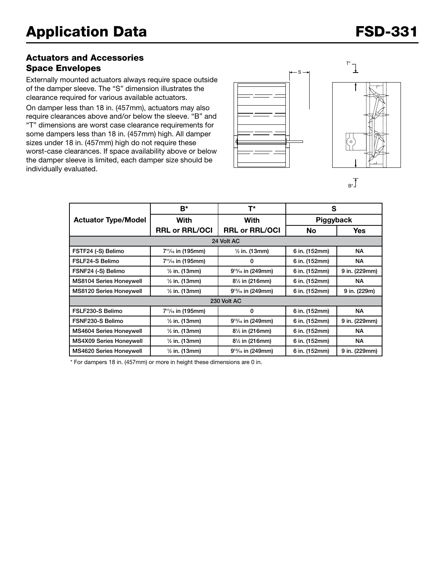### Actuators and Accessories Space Envelopes

Externally mounted actuators always require space outside of the damper sleeve. The "S" dimension illustrates the clearance required for various available actuators.

On damper less than 18 in. (457mm), actuators may also require clearances above and/or below the sleeve. "B" and "T" dimensions are worst case clearance requirements for some dampers less than 18 in. (457mm) high. All damper sizes under 18 in. (457mm) high do not require these worst-case clearances. If space availability above or below the damper sleeve is limited, each damper size should be individually evaluated.





 $B^*$ 

|                                                     | B*                                         | T*                        | S             |               |  |  |  |  |
|-----------------------------------------------------|--------------------------------------------|---------------------------|---------------|---------------|--|--|--|--|
| <b>Actuator Type/Model</b>                          | <b>With</b>                                | With                      | Piggyback     |               |  |  |  |  |
|                                                     | <b>RRL or RRL/OCI</b>                      | <b>RRL or RRL/OCI</b>     | <b>No</b>     | Yes.          |  |  |  |  |
| 24 Volt AC                                          |                                            |                           |               |               |  |  |  |  |
| FSTF24 (-S) Belimo                                  | 7 <sup>11</sup> / <sub>16</sub> in (195mm) | $\frac{1}{2}$ in. (13mm)  | 6 in. (152mm) | NA.           |  |  |  |  |
| FSLF24-S Belimo                                     | $7^{11}/_{16}$ in (195mm)                  | 0                         | 6 in. (152mm) | <b>NA</b>     |  |  |  |  |
| FSNF24 (-S) Belimo                                  | $\frac{1}{2}$ in. (13mm)                   | $9^{13}/_{16}$ in (249mm) | 6 in. (152mm) | 9 in. (229mm) |  |  |  |  |
| <b>MS8104 Series Honeywell</b>                      | $\frac{1}{2}$ in. (13mm)                   | $8\frac{1}{2}$ in (216mm) | 6 in. (152mm) | <b>NA</b>     |  |  |  |  |
| <b>MS8120 Series Honeywell</b>                      | $\frac{1}{2}$ in. (13mm)                   | $9^{13}/_{16}$ in (249mm) | 6 in. (152mm) | 9 in. (229m)  |  |  |  |  |
| 230 Volt AC                                         |                                            |                           |               |               |  |  |  |  |
| FSLF230-S Belimo                                    | 7 <sup>11</sup> / <sub>16</sub> in (195mm) | 0                         | 6 in. (152mm) | NA.           |  |  |  |  |
| FSNF230-S Belimo                                    | $\frac{1}{2}$ in. (13mm)                   | $9^{13}/_{16}$ in (249mm) | 6 in. (152mm) | 9 in. (229mm) |  |  |  |  |
| MS4604 Series Honeywell<br>$\frac{1}{2}$ in. (13mm) |                                            | 81/2 in (216mm)           | 6 in. (152mm) | <b>NA</b>     |  |  |  |  |
| <b>MS4X09 Series Honeywell</b>                      | $\frac{1}{2}$ in. (13mm)                   | $8\frac{1}{2}$ in (216mm) | 6 in. (152mm) | <b>NA</b>     |  |  |  |  |
| <b>MS4620 Series Honeywell</b>                      | $\frac{1}{2}$ in. (13mm)                   | $9^{13}/_{16}$ in (249mm) | 6 in. (152mm) | 9 in. (229mm) |  |  |  |  |

\* For dampers 18 in. (457mm) or more in height these dimensions are 0 in.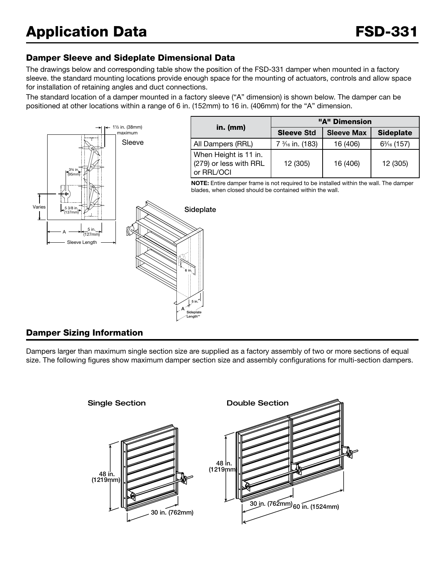### Damper Sleeve and Sideplate Dimensional Data

The drawings below and corresponding table show the position of the FSD-331 damper when mounted in a factory sleeve. the standard mounting locations provide enough space for the mounting of actuators, controls and allow space for installation of retaining angles and duct connections.

The standard location of a damper mounted in a factory sleeve ("A" dimension) is shown below. The damper can be positioned at other locations within a range of 6 in. (152mm) to 16 in. (406mm) for the "A" dimension.



### Damper Sizing Information

Dampers larger than maximum single section size are supplied as a factory assembly of two or more sections of equal size. The following figures show maximum damper section size and assembly configurations for multi-section dampers.